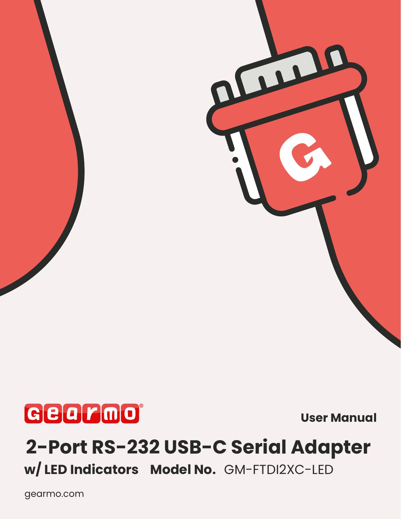

**User Manual**

THE

# **[2-Port RS-232 USB-C Serial Adapter](https://www.gearmo.com/shop/2-port-usb-c-to-serial-adapter-with-rx-tx-led-indicators)**

**w/ LED Indicators Model No.** GM-FTDI2XC-LED

[gearmo.com](https://www.gearmo.com/shop/usb2-0-rs-232-serial-adapter-led-indicators/)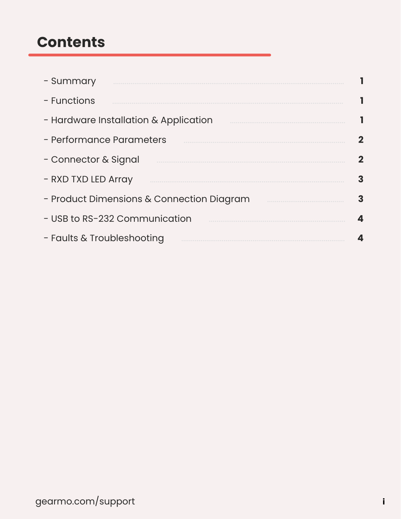### **Contents**

| - Summary                                 |   |
|-------------------------------------------|---|
| - Functions                               |   |
| - Hardware Installation & Application     |   |
| - Performance Parameters                  |   |
| - Connector & Signal                      |   |
| - RXD TXD LED Array                       | 3 |
| - Product Dimensions & Connection Diagram | 3 |
| - USB to RS-232 Communication             |   |
| - Faults & Troubleshooting                |   |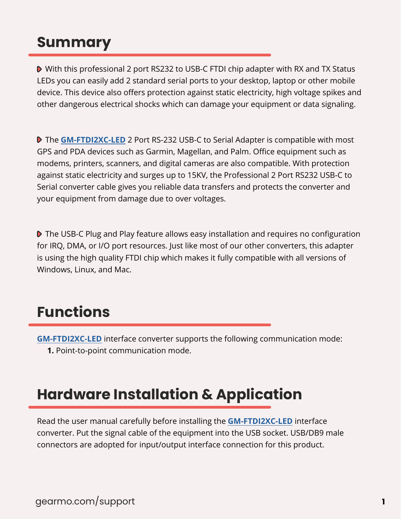# **Summary**

 With this professional 2 port RS232 to USB-C FTDI chip adapter with RX and TX Status LEDs you can easily add 2 standard serial ports to your desktop, laptop or other mobile device. This device also offers protection against static electricity, high voltage spikes and other dangerous electrical shocks which can damage your equipment or data signaling.

**The [GM-FTDI2X](https://www.gearmo.com/shop/2-port-usb-c-to-serial-adapter-with-rx-tx-led-indicators)C-LED** 2 Port RS-232 USB-C to Serial Adapter is compatible with most GPS and PDA devices such as Garmin, Magellan, and Palm. Office equipment such as modems, printers, scanners, and digital cameras are also compatible. With protection against static electricity and surges up to 15KV, the Professional 2 Port RS232 USB-C to Serial converter cable gives you reliable data transfers and protects the converter and your equipment from damage due to over voltages.

**D** The USB-C Plug and Play feature allows easy installation and requires no configuration for IRQ, DMA, or I/O port resources. Just like most of our other converters, this adapter is using the high quality FTDI chip which makes it fully compatible with all versions of Windows, Linux, and Mac.

# **Functions**

**[GM-FTDI2X](https://www.gearmo.com/shop/2-port-usb-c-to-serial-adapter-with-rx-tx-led-indicators)C-LED** interface converter supports the following communication mode: **1.** Point-to-point communication mode.

# **Hardware Installation & Application**

Read the user manual carefully before installing the **[GM-FTDI2X](https://www.gearmo.com/shop/2-port-usb-c-to-serial-adapter-with-rx-tx-led-indicators)C-LED** interface converter. Put the signal cable of the equipment into the USB socket. USB/DB9 male connectors are adopted for input/output interface connection for this product.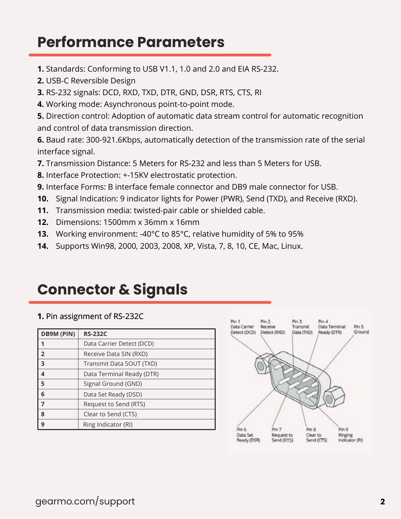### **Performance Parameters**

- **1.** Standards: Conforming to USB V1.1, 1.0 and 2.0 and EIA RS-232.
- **2.** USB-C Reversible Design
- **3.** RS-232 signals: DCD, RXD, TXD, DTR, GND, DSR, RTS, CTS, RI
- **4.** Working mode: Asynchronous point-to-point mode.

**5.** Direction control: Adoption of automatic data stream control for automatic recognition and control of data transmission direction.

**6.** Baud rate: 300-921.6Kbps, automatically detection of the transmission rate of the serial interface signal.

- **7.** Transmission Distance: 5 Meters for RS-232 and less than 5 Meters for USB.
- **8.** Interface Protection: +-15KV electrostatic protection.
- **9.** Interface Forms: B interface female connector and DB9 male connector for USB.
- **10.** Signal Indication: 9 indicator lights for Power (PWR), Send (TXD), and Receive (RXD).
- **11.** Transmission media: twisted-pair cable or shielded cable.
- **12.** Dimensions: 1500mm x 36mm x 16mm
- **13.** Working environment: -40°C to 85°C, relative humidity of 5% to 95%
- **14.** Supports Win98, 2000, 2003, 2008, XP, Vista, 7, 8, 10, CE, Mac, Linux.

# **Connector & Signals**

#### **1.** Pin assignment of RS-232C

| <b>DB9M (PIN)</b>       | <b>RS-232C</b>            |
|-------------------------|---------------------------|
|                         | Data Carrier Detect (DCD) |
| $\overline{2}$          | Receive Data SIN (RXD)    |
| 3                       | Transmit Data SOUT (TXD)  |
| $\overline{\mathbf{4}}$ | Data Terminal Ready (DTR) |
| 5                       | Signal Ground (GND)       |
| 6                       | Data Set Ready (DSD)      |
| $\overline{7}$          | Request to Send (RTS)     |
| 8                       | Clear to Send (CTS)       |
| 9                       | Ring Indicator (RI)       |

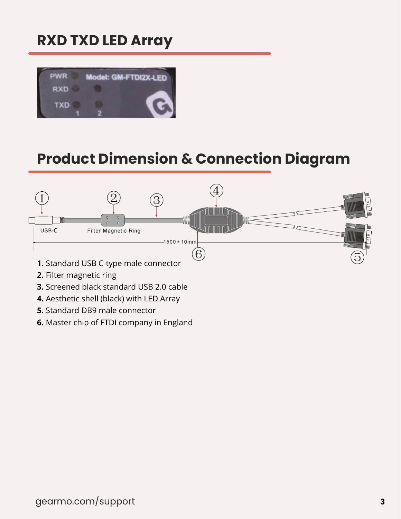# **RXD TXD LED Array**



# **Product Dimension & Connection Diagram**



- **2.** Filter magnetic ring
- **3.** Screened black standard USB 2.0 cable
- **4.** Aesthetic shell (black) with LED Array
- **5.** Standard DB9 male connector
- **6.** Master chip of FTDI company in England